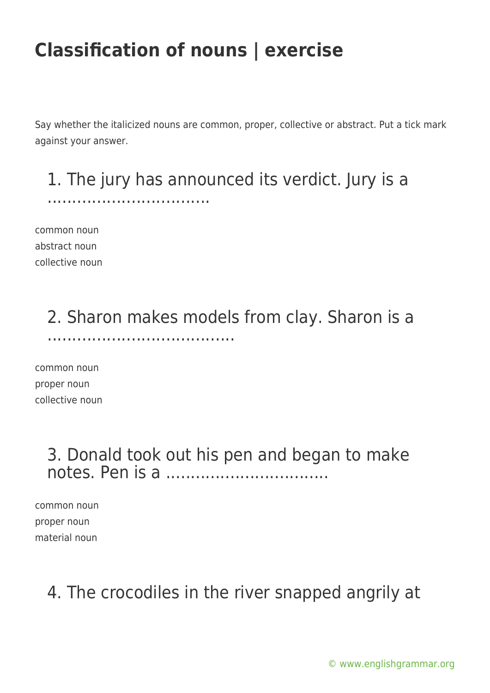Say whether the italicized nouns are common, proper, collective or abstract. Put a tick mark against your answer.

# 1. The jury has announced its verdict. Jury is a

common noun abstract noun collective noun

.................................

### 2. Sharon makes models from clay. Sharon is a ......................................

common noun proper noun collective noun

### 3. Donald took out his pen and began to make notes. Pen is a .................................

common noun proper noun material noun

### 4. The crocodiles in the river snapped angrily at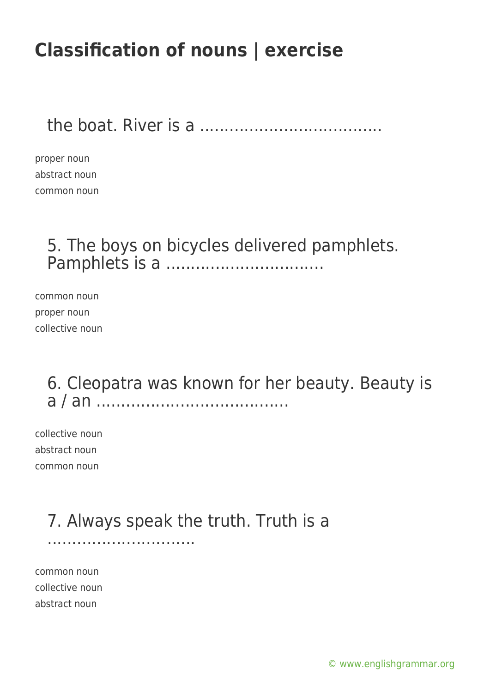the boat. River is a .....................................

proper noun abstract noun common noun

### 5. The boys on bicycles delivered pamphlets. Pamphlets is a ................................

common noun proper noun collective noun

### 6. Cleopatra was known for her beauty. Beauty is a / an .......................................

collective noun abstract noun common noun

### 7. Always speak the truth. Truth is a

common noun collective noun abstract noun

..............................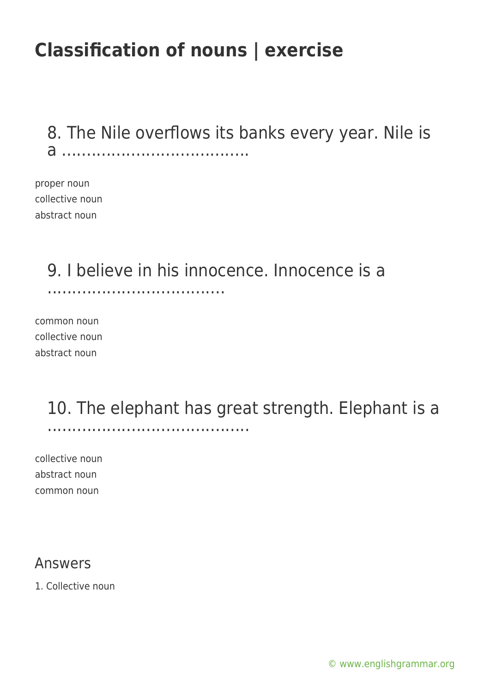8. The Nile overflows its banks every year. Nile is a ......................................

proper noun collective noun abstract noun

### 9. I believe in his innocence. Innocence is a

....................................

common noun collective noun abstract noun

#### 10. The elephant has great strength. Elephant is a .........................................

collective noun abstract noun common noun

#### Answers

1. Collective noun